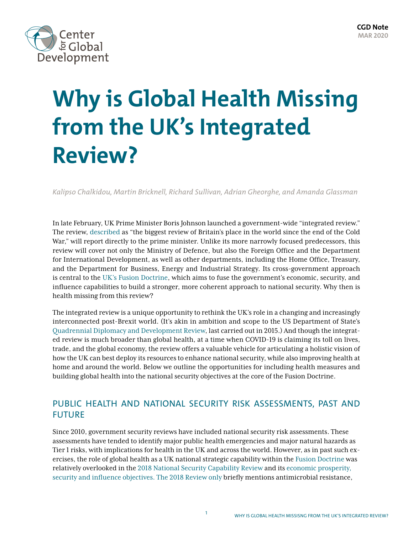

# **Why is Global Health Missing from the UK's Integrated Review?**

*Kalipso Chalkidou, Martin Bricknell, Richard Sullivan, Adrian Gheorghe, and Amanda Glassman*

In late February, UK Prime Minister Boris Johnson launched a government-wide "integrated review." The review, [described](https://www.telegraph.co.uk/politics/2020/02/25/boris-johnson-signals-increase-defence-spending-launches-review/) as "the biggest review of Britain's place in the world since the end of the Cold War," will report directly to the prime minister. Unlike its more narrowly focused predecessors, this review will cover not only the Ministry of Defence, but also the Foreign Office and the Department for International Development, as well as other departments, including the Home Office, Treasury, and the Department for Business, Energy and Industrial Strategy. Its cross-government approach is central to the [UK's Fusion Doctrine,](https://www.oxfordresearchgroup.org.uk/infographics-fusion-doctrine-in-five-steps) which aims to fuse the government's economic, security, and influence capabilities to build a stronger, more coherent approach to national security. Why then is health missing from this review?

The integrated review is a unique opportunity to rethink the UK's role in a changing and increasingly interconnected post-Brexit world. (It's akin in ambition and scope to the US Department of State's [Quadrennial Diplomacy and Development Review](https://2009-2017.state.gov/s/dmr/qddr/index.htm), last carried out in 2015.) And though the integrated review is much broader than global health, at a time when COVID-19 is claiming its toll on lives, trade, and the global economy, the review offers a valuable vehicle for articulating a holistic vision of how the UK can best deploy its resources to enhance national security, while also improving health at home and around the world. Below we outline the opportunities for including health measures and building global health into the national security objectives at the core of the Fusion Doctrine.

## PUBLIC HEALTH AND NATIONAL SECURITY RISK ASSESSMENTS, PAST AND FUTURE

Since 2010, government security reviews have included national security risk assessments. These assessments have tended to identify major public health emergencies and major natural hazards as Tier 1 risks, with implications for health in the UK and across the world. However, as in past such exercises, the role of global health as a UK national strategic capability within the [Fusion Doctrine](https://www.oxfordresearchgroup.org.uk/infographics-fusion-doctrine-in-five-steps) was relatively overlooked in the [2018 National Security Capability Review](https://assets.publishing.service.gov.uk/government/uploads/system/uploads/attachment_data/file/705347/6.4391_CO_National-Security-Review_web.pdf) and its [economic prosperity,](https://www.oxfordresearchgroup.org.uk/infographics-fusion-doctrine-in-five-steps)  [security and influence objectives.](https://www.oxfordresearchgroup.org.uk/infographics-fusion-doctrine-in-five-steps) The 2018 Review only briefly mentions antimicrobial resistance,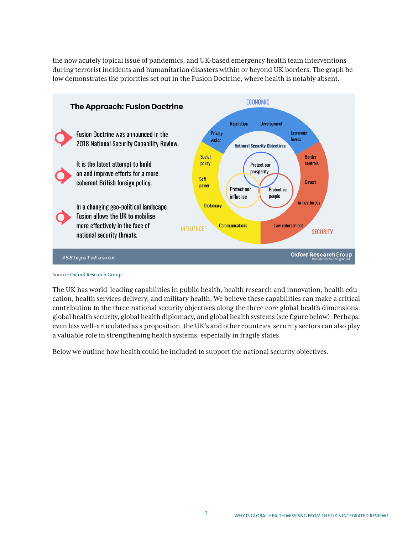the now acutely topical issue of pandemics, and UK-based emergency health team interventions during terrorist incidents and humanitarian disasters within or beyond UK borders. The graph below demonstrates the priorities set out in the Fusion Doctrine, where health is notably absent.



Source: [Oxford Research Group](https://www.oxfordresearchgroup.org.uk/infographics-fusion-doctrine-in-five-steps)

The UK has world-leading capabilities in public health, health research and innovation, health education, health services delivery, and military health. We believe these capabilities can make a critical contribution to the three national security objectives along the three core global health dimensions: global health security, global health diplomacy, and global health systems (see figure below). Perhaps, even less well-articulated as a proposition, the UK's and other countries' security sectors can also play a valuable role in strengthening health systems, especially in fragile states.

Below we outline how health could be included to support the national security objectives.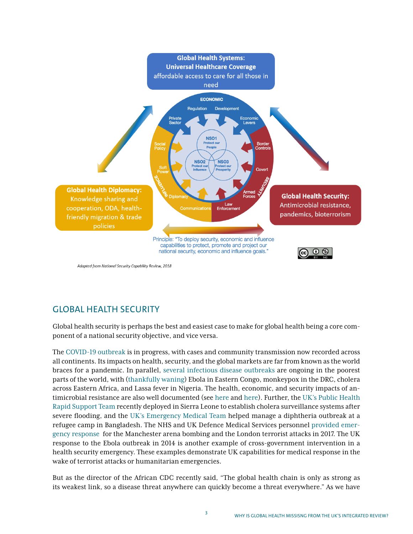

Adapted from National Security Capability Review, 2018

# GLOBAL HEALTH SECURITY

Global health security is perhaps the best and easiest case to make for global health being a core component of a national security objective, and vice versa.

The [COVID-19 outbreak](https://news.un.org/en/story/2020/02/1058141) is in progress, with cases and community transmission now recorded across all continents. Its impacts on health, security, and the global markets are far from known as the world braces for a pandemic. In parallel, [several infectious disease outbreaks](http://outbreaks.globalincidentmap.com/) are ongoing in the poorest parts of the world, with ([thankfully waning](https://news.un.org/en/story/2020/03/1058551)) Ebola in Eastern Congo, monkeypox in the DRC, cholera across Eastern Africa, and Lassa fever in Nigeria. The health, economic, and security impacts of antimicrobial resistance are also well documented (see [here](https://www.atlanticcouncil.org/wp-content/uploads/2015/01/Antimicrobial_Resistance_as_an_Emerging_Threat_to_National_Security.pdf) and [here\)](https://www.rand.org/randeurope/research/projects/antimicrobial-resistance-costs.html). Further, the [UK's Public Health](https://publichealthengland.exposure.co/the-uk-public-health-rapid-support-team)  [Rapid Support Team](https://publichealthengland.exposure.co/the-uk-public-health-rapid-support-team) recently deployed in Sierra Leone to establish cholera surveillance systems after severe flooding, and the [UK's Emergency Medical Team](https://www.uk-med.org/ukemtrecruitment/) helped manage a diphtheria outbreak at a refugee camp in Bangladesh. The NHS and UK Defence Medical Services personnel [provided emer](https://militaryhealth.bmj.com/content/early/2018/07/24/jramc-2018-000909)[gency response](https://militaryhealth.bmj.com/content/early/2018/07/24/jramc-2018-000909) for the Manchester arena bombing and the London terrorist attacks in 2017. The UK response to the Ebola outbreak in 2014 is another example of cross-government intervention in a health security emergency. These examples demonstrate UK capabilities for medical response in the wake of terrorist attacks or humanitarian emergencies.

But as the director of the African CDC recently said, "The global health chain is only as strong as its weakest link, so a disease threat anywhere can quickly become a threat everywhere." As we have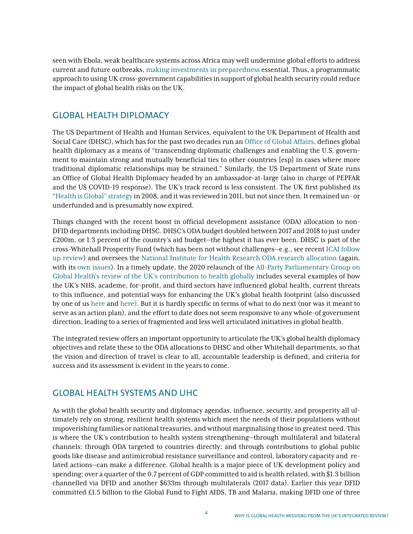seen with Ebola, weak healthcare systems across Africa may well undermine global efforts to address current and future outbreaks, [making investments in preparedness](https://thehill.com/opinion/healthcare/482049-stop-coronavirus-and-the-next-epidemic-by-establishing-a-healthy-security) essential. Thus, a programmatic approach to using UK cross-government capabilities in support of global health security could reduce the impact of global health risks on the UK.

#### GLOBAL HEALTH DIPLOMACY

The US Department of Health and Human Services, equivalent to the UK Department of Health and Social Care (DHSC), which has for the past two decades run an [Office of Global Affairs](https://www.hhs.gov/about/agencies/oga/about-oga/index.html), defines global health diplomacy as a means of "transcending diplomatic challenges and enabling the U.S. government to maintain strong and mutually beneficial ties to other countries [esp] in cases where more traditional diplomatic relationships may be strained*.*" Similarly, the US Department of State runs an Office of Global Health Diplomacy headed by an ambassador-at-large (also in charge of PEPFAR and the US COVID-19 response). The UK's track record is less consistent. The UK first published its ["Health is Global" strategy](https://www.gov.uk/government/publications/health-is-global-an-outcomes-framework-for-global-health-2011-15--2) in 2008, and it was reviewed in 2011, but not since then. It remained un- or underfunded and is presumably now expired.

Things changed with the recent boost in official development assistance (ODA) allocation to non-DFID departments including DHSC. DHSC's ODA budget doubled between 2017 and 2018 to just under £200m, or 1.3 percent of the country's aid budget—the highest it has ever been. DHSC is part of the cross-Whitehall Prosperity Fund (which has been not without challenges—e.g., see recent [ICAI follow](https://icai.independent.gov.uk/wp-content/uploads/ICAI-Follow-up-Prosperity-Fund.pdf) [up review\)](https://icai.independent.gov.uk/wp-content/uploads/ICAI-Follow-up-Prosperity-Fund.pdf) and oversees the [National Institute for Health Research ODA research allocation](https://www.nihr.ac.uk/explore-nihr/funding-programmes/global-health/) (again, with its [own issues](https://www.cgdev.org/blog/focusing-uk-research-aid-where-it-matters)). In a timely update, the 2020 relaunch of the All-Party Parliamentary Group on [Global Health's review of the UK's contribution to health globally](http://www.appg-globalhealth.org.uk/download/i/mark_dl/u/4009611296/4636827707/The%20UK) includes several examples of how the UK's NHS, academe, for-profit, and third sectors have influenced global health, current threats to this influence, and potential ways for enhancing the UK's global health footprint (also discussed by one of us [here](https://globalizationandhealth.biomedcentral.com/articles/10.1186/1744-8603-9-51) and [here](https://www.cgdev.org/publication/five-things-health-minister-should-do-enhance-uks-global-health-footprint)). But it is hardly specific in terms of what to do next (nor was it meant to serve as an action plan), and the effort to date does not seem responsive to any whole-of government direction, leading to a series of fragmented and less well articulated initiatives in global health.

The integrated review offers an important opportunity to articulate the UK's global health diplomacy objectives and relate these to the ODA allocations to DHSC and other Whitehall departments, so that the vision and direction of travel is clear to all, accountable leadership is defined, and criteria for success and its assessment is evident in the years to come.

### GLOBAL HEALTH SYSTEMS AND UHC

As with the global health security and diplomacy agendas, influence, security, and prosperity all ultimately rely on strong, resilient health systems which meet the needs of their populations without impoverishing families or national treasuries, and without marginalising those in greatest need. This is where the UK's contribution to health system strengthening—through multilateral and bilateral channels; through ODA targeted to countries directly; and through contributions to global public goods like disease and antimicrobial resistance surveillance and control, laboratory capacity and related actions—can make a difference. Global health is a major piece of UK development policy and spending; over a quarter of the 0.7 percent of GDP committed to aid is health related, with \$1.3 billion channelled via DFID and another \$633m through multilaterals (2017 data). Earlier this year DFID committed £1.5 billion to the Global Fund to Fight AIDS, TB and Malaria, making DFID one of three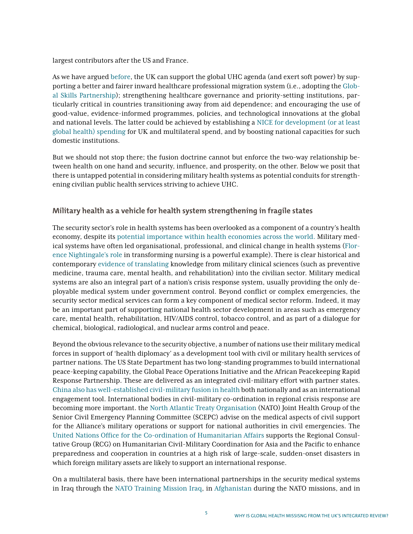largest contributors after the US and France.

As we have argued [before](https://www.cgdev.org/publication/five-things-health-minister-should-do-enhance-uks-global-health-footprint), the UK can support the global UHC agenda (and exert soft power) by supporting a better and fairer inward healthcare professional migration system (i.e., adopting the [Glob](https://www.cgdev.org/blog/10-steps-implementing-global-compact-migration-through-global-skill-partnerships)[al Skills Partnership\)](https://www.cgdev.org/blog/10-steps-implementing-global-compact-migration-through-global-skill-partnerships); strengthening healthcare governance and priority-setting institutions, particularly critical in countries transitioning away from aid dependence; and encouraging the use of good-value, evidence-informed programmes, policies, and technological innovations at the global and national levels. The latter could be achieved by establishing a [NICE for development \(or at least](https://f1000research.com/articles/6-1223) [global health\) spending](https://f1000research.com/articles/6-1223) for UK and multilateral spend, and by boosting national capacities for such domestic institutions.

But we should not stop there; the fusion doctrine cannot but enforce the two-way relationship between health on one hand and security, influence, and prosperity, on the other. Below we posit that there is untapped potential in considering military health systems as potential conduits for strengthening civilian public health services striving to achieve UHC.

#### **Military health as a vehicle for health system strengthening in fragile states**

The security sector's role in health systems has been overlooked as a component of a country's health economy, despite its [potential importance within health economies across the world.](https://www.ncbi.nlm.nih.gov/pubmed/30663597) Military medical systems have often led organisational, professional, and clinical change in health systems [\(Flor](https://www.nationalarchives.gov.uk/education/resources/florence-nightingale/)[ence Nightingale'](https://www.nationalarchives.gov.uk/education/resources/florence-nightingale/)s role in transforming nursing is a powerful example). There is clear historical and contemporary [evidence of translatin](https://journals.sagepub.com/doi/10.1177/0141076815570923)g knowledge from military clinical sciences (such as preventive medicine, trauma care, mental health, and rehabilitation) into the civilian sector. Military medical systems are also an integral part of a nation's crisis response system, usually providing the only deployable medical system under government control. Beyond conflict or complex emergencies, the security sector medical services can form a key component of medical sector reform. Indeed, it may be an important part of supporting national health sector development in areas such as emergency care, mental health, rehabilitation, HIV/AIDS control, tobacco control, and as part of a dialogue for chemical, biological, radiological, and nuclear arms control and peace.

Beyond the obvious relevance to the security objective, a number of nations use their military medical forces in support of 'health diplomacy' as a development tool with civil or military health services of partner nations. [The US State Department has two long-standing programmes to build international](https://www.state.gov/u-s-peacekeeping-capacity-building-assistance/) [peace-keeping capability, the Global Peace Operations Initiative and the African Peacekeeping Rapid](https://www.state.gov/u-s-peacekeeping-capacity-building-assistance/) [Response Partnership.](https://www.state.gov/u-s-peacekeeping-capacity-building-assistance/) These are delivered as an integrated civil-military effort with partner states. [China also has well-established civil-military fusion in health](file:///C:\Users\aglassman\AppData\Local\Microsoft\Windows\INetCache\Content.Outlook\IO81DEIG\10.1186\2054-9369-1-2) both nationally and as an international engagement tool. International bodies in civil-military co-ordination in regional crisis response are becoming more important. the [North Atlantic Treaty Organisation](https://www.nato.int/cps/en/natohq/news_171382.htm?selectedLocale=en) (NATO) Joint Health Group of the Senior Civil Emergency Planning Committee (SCEPC) advise on the medical aspects of civil support for the Alliance's military operations or support for national authorities in civil emergencies. The [United Nations Office for the Co-ordination of Humanitarian Affairs](https://www.humanitarianresponse.info/en/operations/asia/civil-military-coordination-working-group) supports the Regional Consultative Group (RCG) on Humanitarian Civil-Military Coordination for Asia and the Pacific to enhance preparedness and cooperation in countries at a high risk of large-scale, sudden-onset disasters in which foreign military assets are likely to support an international response.

On a multilateral basis, there have been international partnerships in the security medical systems in Iraq through the [NATO Training Mission Iraq](https://military-medicine.com/article/3765-end-of), in [Afghanistan](https://military-medicine.com/article/3765-end-of-a-period-the-last-flag-officer-medical-advisor-in-kabul.html) during the NATO missions, and in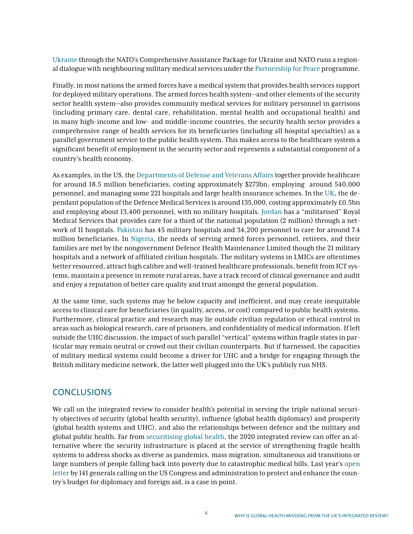[Ukraine](https://www.nato.int/cps/en/natohq/news_170407.htm?selectedLocale=en) through the NATO's Comprehensive Assistance Package for Ukraine and NATO runs a regional dialogue with neighbouring military medical services under the [Partnership for Peace](https://www.nato.int/cps/en/natohq/news_171382.htm) programme.

Finally, in most nations the armed forces have a medical system that provides health services support for deployed military operations. The armed forces health system—and other elements of the security sector health system—also provides community medical services for military personnel in garrisons (including primary care, dental care, rehabilitation, mental health and occupational health) and in many high-income and low- and middle-income countries, the security health sector provides a comprehensive range of health services for its beneficiaries (including all hospital specialties) as a parallel government service to the public health system. This makes access to the healthcare system a significant benefit of employment in the security sector and represents a substantial component of a country's health economy.

As examples, in the US, the [Departments of Defense and Veterans Affairs](https://www.healthaffairs.org/doi/10.1377/hlthaff.2019.00239) together provide healthcare for around 18.5 million beneficiaries, costing approximately \$273bn, employing around 540,000 personnel, and managing some 221 hospitals and large health insurance schemes. In the [UK](https://www.gov.uk/government/groups/defence-medical-services), the dependant population of the Defence Medical Services is around 135,000, costing approximately £0.5bn and employing about 13,400 personnel, with no military hospitals. [Jordan](https://military-medicine.com/almanac/69-jordan-hashemite-kingdom-of.html) has a "militarised" Royal Medical Services that provides care for a third of the national population (2 million) through a network of 11 hospitals. [Pakistan](https://military-medicine.com/almanac/97-pakistan-islamic-republic-of.html) has 45 military hospitals and 34,200 personnel to care for around 7.4 million beneficiaries. In [Nigeria,](https://www.dhmlnigeria.com/) the needs of serving armed forces personnel, retirees, and their families are met by the nongovernment Defence Health Maintenance Limited though the 21 military hospitals and a network of affiliated civilian hospitals. The military systems in LMICs are oftentimes better resourced, attract high calibre and well-trained healthcare professionals, benefit from ICT systems, maintain a presence in remote rural areas, have a track record of clinical governance and audit and enjoy a reputation of better care quality and trust amongst the general population.

At the same time, such systems may be below capacity and inefficient, and may create inequitable access to clinical care for beneficiaries (in quality, access, or cost) compared to public health systems. Furthermore, clinical practice and research may lie outside civilian regulation or ethical control in areas such as biological research, care of prisoners, and confidentiality of medical information. If left outside the UHC discussion, the impact of such parallel "vertical" systems within fragile states in particular may remain neutral or crowd out their civilian counterparts. But if harnessed, the capacities of military medical systems could become a driver for UHC and a bridge for engaging through the British military medicine network, the latter well plugged into the UK's publicly run NHS.

#### **CONCLUSIONS**

We call on the integrated review to consider health's potential in serving the triple national security objectives of security (global health security), influence (global health diplomacy) and prosperity (global health systems and UHC), and also the relationships between defence and the military and global public health. Far from [securitising global health,](https://academic.oup.com/ia/article/95/5/1093/5556752) the 2020 integrated review can offer an alternative where the security infrastructure is placed at the service of strengthening fragile health systems to address shocks as diverse as pandemics, mass migration, simultaneous aid transitions or large numbers of people falling back into poverty due to catastrophic medical bills. Last year's [open](https://www.usglc.org/newsroom/141-retired-three-and-four-star-generals-and-admirals-oppose-cuts-to-the-international-affairs-budget/)  [letter](https://www.usglc.org/newsroom/141-retired-three-and-four-star-generals-and-admirals-oppose-cuts-to-the-international-affairs-budget/) by 141 generals calling on the US Congress and administration to protect and enhance the country's budget for diplomacy and foreign aid, is a case in point.